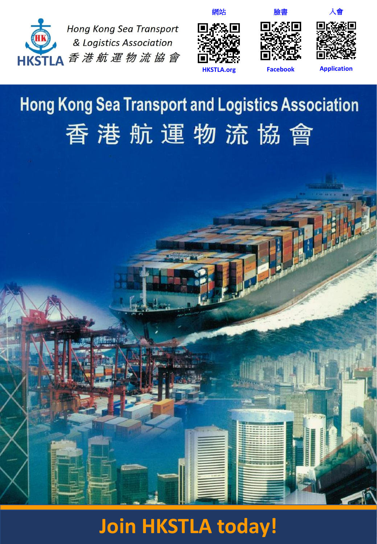



網站





**Application**

**Facebook**

# **Hong Kong Sea Transport and Logistics Association** 香港航運物流協會